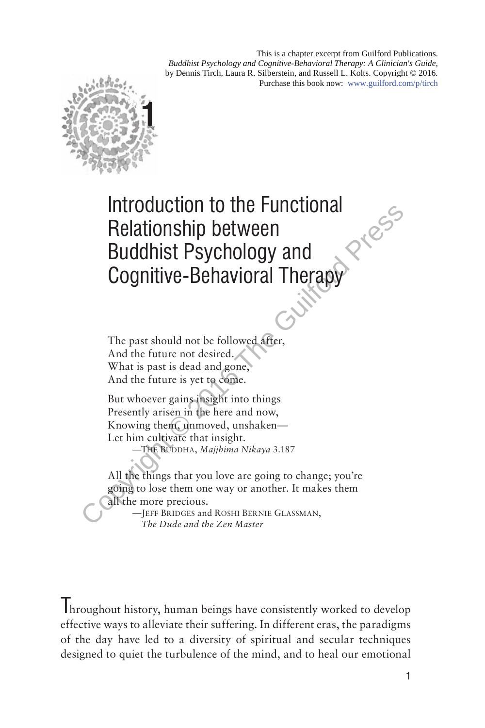This is a chapter excerpt from Guilford Publications. *Buddhist Psychology and Cognitive-Behavioral Therapy: A Clinician's Guide*, by Dennis Tirch, Laura R. Silberstein, and Russell L. Kolts. Copyright © 2016*.* Purchase this book now: [www.guilford.com/p/tirch](http://www.guilford.com/books/Buddhist-Psychology-and-Cognitive-Behavioral-Therapy/Tirch-Silberstein-Kolts/9781462523245)



# From the Copyright Control Copyright Control The Copyright Copyright Copyright Copyright Copyright Copyright Copyright Copyright Copyright Copyright Copyright Copyright Copyright Copyright Copyright Copyright Copyright Co Introduction to the Functional<br>Relationship between<br>Buddhist Psychology Relationship between Buddhist Psychology and Cognitive-Behavioral Therapy

The past should not be followed after, And the future not desired. What is past is dead and gone, And the future is yet to come.

But whoever gains insight into things Presently arisen in the here and now, Knowing them, unmoved, unshaken— Let him cultivate that insight.

—The Buddha, *Majjhima Nikaya* 3.187

All the things that you love are going to change; you're going to lose them one way or another. It makes them all the more precious.

 —Jeff Bridges and Roshi Bernie Glassman, *The Dude and the Zen Master*

Throughout history, human beings have consistently worked to develop effective ways to alleviate their suffering. In different eras, the paradigms of the day have led to a diversity of spiritual and secular techniques designed to quiet the turbulence of the mind, and to heal our emotional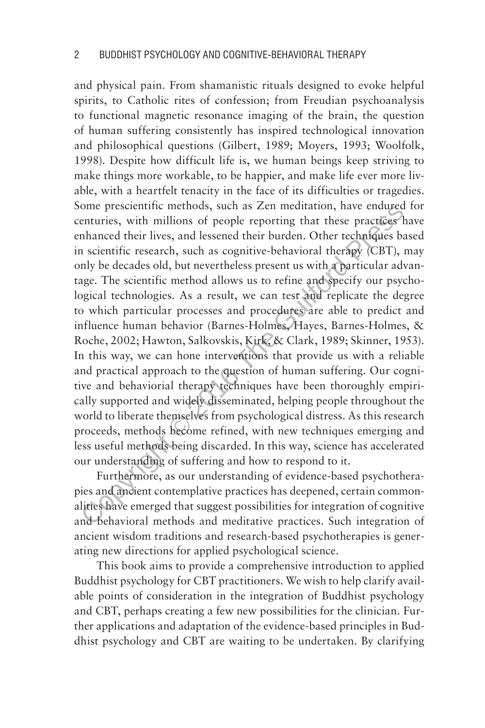ome prescientific methods, such as Zen meditation, nave endured<br>enturies, with millions of people reporting that these practices<sup>1</sup> h<br>nhanced their lives, and lessend their burden. Other techniques ba<br>n scientific research and physical pain. From shamanistic rituals designed to evoke helpful spirits, to Catholic rites of confession; from Freudian psychoanalysis to functional magnetic resonance imaging of the brain, the question of human suffering consistently has inspired technological innovation and philosophical questions (Gilbert, 1989; Moyers, 1993; Woolfolk, 1998). Despite how difficult life is, we human beings keep striving to make things more workable, to be happier, and make life ever more livable, with a heartfelt tenacity in the face of its difficulties or tragedies. Some prescientific methods, such as Zen meditation, have endured for centuries, with millions of people reporting that these practices have enhanced their lives, and lessened their burden. Other techniques based in scientific research, such as cognitive-behavioral therapy (CBT), may only be decades old, but nevertheless present us with a particular advantage. The scientific method allows us to refine and specify our psychological technologies. As a result, we can test and replicate the degree to which particular processes and procedures are able to predict and influence human behavior (Barnes-Holmes, Hayes, Barnes-Holmes, & Roche, 2002; Hawton, Salkovskis, Kirk, & Clark, 1989; Skinner, 1953). In this way, we can hone interventions that provide us with a reliable and practical approach to the question of human suffering. Our cognitive and behaviorial therapy techniques have been thoroughly empirically supported and widely disseminated, helping people throughout the world to liberate themselves from psychological distress. As this research proceeds, methods become refined, with new techniques emerging and less useful methods being discarded. In this way, science has accelerated our understanding of suffering and how to respond to it.

Furthermore, as our understanding of evidence-based psychotherapies and ancient contemplative practices has deepened, certain commonalities have emerged that suggest possibilities for integration of cognitive and behavioral methods and meditative practices. Such integration of ancient wisdom traditions and research-based psychotherapies is generating new directions for applied psychological science.

This book aims to provide a comprehensive introduction to applied Buddhist psychology for CBT practitioners. We wish to help clarify available points of consideration in the integration of Buddhist psychology and CBT, perhaps creating a few new possibilities for the clinician. Further applications and adaptation of the evidence-based principles in Buddhist psychology and CBT are waiting to be undertaken. By clarifying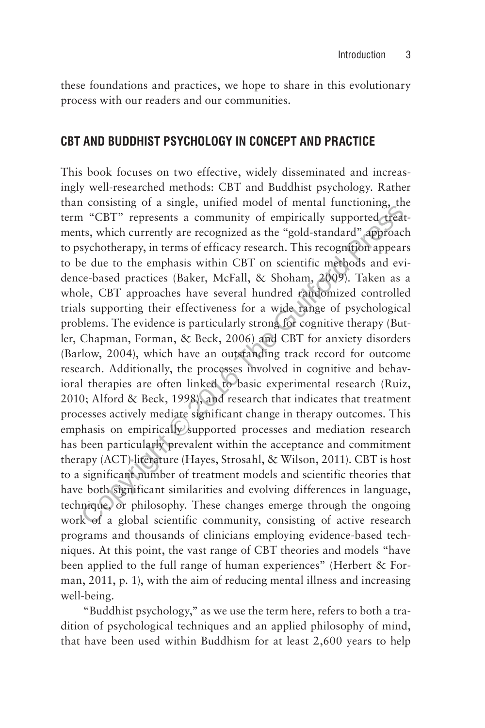these foundations and practices, we hope to share in this evolutionary process with our readers and our communities.

## **CBT and Buddhist Psychology in Concept and Practice**

Textually are increased of mentioning functions and the consideration of methal in a CBT" represents a community of empirically supported readings and sychotherapy, in terms of efficacy research. This recognition appears s This book focuses on two effective, widely disseminated and increasingly well-researched methods: CBT and Buddhist psychology. Rather than consisting of a single, unified model of mental functioning, the term "CBT" represents a community of empirically supported treatments, which currently are recognized as the "gold-standard" approach to psychotherapy, in terms of efficacy research. This recognition appears to be due to the emphasis within CBT on scientific methods and evidence-based practices (Baker, McFall, & Shoham, 2009). Taken as a whole, CBT approaches have several hundred randomized controlled trials supporting their effectiveness for a wide range of psychological problems. The evidence is particularly strong for cognitive therapy (Butler, Chapman, Forman, & Beck, 2006) and CBT for anxiety disorders (Barlow, 2004), which have an outstanding track record for outcome research. Additionally, the processes involved in cognitive and behavioral therapies are often linked to basic experimental research (Ruiz, 2010; Alford & Beck, 1998), and research that indicates that treatment processes actively mediate significant change in therapy outcomes. This emphasis on empirically supported processes and mediation research has been particularly prevalent within the acceptance and commitment therapy (ACT) literature (Hayes, Strosahl, & Wilson, 2011). CBT is host to a significant number of treatment models and scientific theories that have both significant similarities and evolving differences in language, technique, or philosophy. These changes emerge through the ongoing work of a global scientific community, consisting of active research programs and thousands of clinicians employing evidence-based techniques. At this point, the vast range of CBT theories and models "have been applied to the full range of human experiences" (Herbert & Forman, 2011, p. 1), with the aim of reducing mental illness and increasing well-being.

"Buddhist psychology," as we use the term here, refers to both a tradition of psychological techniques and an applied philosophy of mind, that have been used within Buddhism for at least 2,600 years to help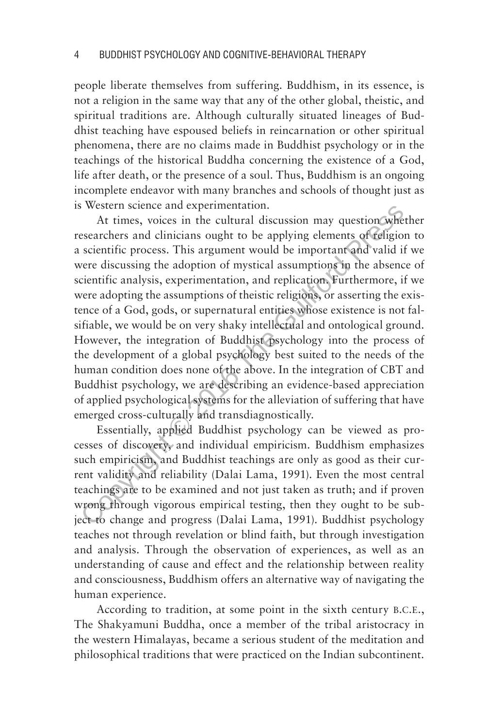people liberate themselves from suffering. Buddhism, in its essence, is not a religion in the same way that any of the other global, theistic, and spiritual traditions are. Although culturally situated lineages of Buddhist teaching have espoused beliefs in reincarnation or other spiritual phenomena, there are no claims made in Buddhist psychology or in the teachings of the historical Buddha concerning the existence of a God, life after death, or the presence of a soul. Thus, Buddhism is an ongoing incomplete endeavor with many branches and schools of thought just as is Western science and experimentation.

Ar times, voices in the cultural discussion may question whet<br>Artimes, voices in the cultural discussion may question whet<br>esearchers and clinicians ought to be applying elements of celigion<br>scientific process. This argume At times, voices in the cultural discussion may question whether researchers and clinicians ought to be applying elements of religion to a scientific process. This argument would be important and valid if we were discussing the adoption of mystical assumptions in the absence of scientific analysis, experimentation, and replication. Furthermore, if we were adopting the assumptions of theistic religions, or asserting the existence of a God, gods, or supernatural entities whose existence is not falsifiable, we would be on very shaky intellectual and ontological ground. However, the integration of Buddhist psychology into the process of the development of a global psychology best suited to the needs of the human condition does none of the above. In the integration of CBT and Buddhist psychology, we are describing an evidence-based appreciation of applied psychological systems for the alleviation of suffering that have emerged cross-culturally and transdiagnostically.

Essentially, applied Buddhist psychology can be viewed as processes of discovery, and individual empiricism. Buddhism emphasizes such empiricism, and Buddhist teachings are only as good as their current validity and reliability (Dalai Lama, 1991). Even the most central teachings are to be examined and not just taken as truth; and if proven wrong through vigorous empirical testing, then they ought to be subject to change and progress (Dalai Lama, 1991). Buddhist psychology teaches not through revelation or blind faith, but through investigation and analysis. Through the observation of experiences, as well as an understanding of cause and effect and the relationship between reality and consciousness, Buddhism offers an alternative way of navigating the human experience.

According to tradition, at some point in the sixth century b.c.e., The Shakyamuni Buddha, once a member of the tribal aristocracy in the western Himalayas, became a serious student of the meditation and philosophical traditions that were practiced on the Indian subcontinent.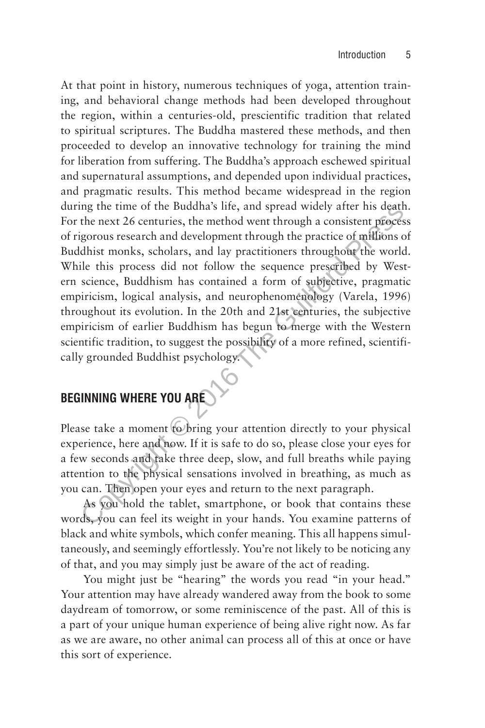my the time of the buddhas life, and spread widely after his death.<br>
the next 26 centuries, the method went through a consistent process<br>
if the next 26 centuries, the method went through the practice of millions of<br>
dhist At that point in history, numerous techniques of yoga, attention training, and behavioral change methods had been developed throughout the region, within a centuries-old, prescientific tradition that related to spiritual scriptures. The Buddha mastered these methods, and then proceeded to develop an innovative technology for training the mind for liberation from suffering. The Buddha's approach eschewed spiritual and supernatural assumptions, and depended upon individual practices, and pragmatic results. This method became widespread in the region during the time of the Buddha's life, and spread widely after his death. For the next 26 centuries, the method went through a consistent process of rigorous research and development through the practice of millions of Buddhist monks, scholars, and lay practitioners throughout the world. While this process did not follow the sequence prescribed by Western science, Buddhism has contained a form of subjective, pragmatic empiricism, logical analysis, and neurophenomenology (Varela, 1996) throughout its evolution. In the 20th and 21st centuries, the subjective empiricism of earlier Buddhism has begun to merge with the Western scientific tradition, to suggest the possibility of a more refined, scientifically grounded Buddhist psychology.

# **Beginning Where You Are**

Please take a moment to bring your attention directly to your physical experience, here and now. If it is safe to do so, please close your eyes for a few seconds and take three deep, slow, and full breaths while paying attention to the physical sensations involved in breathing, as much as you can. Then open your eyes and return to the next paragraph.

As you hold the tablet, smartphone, or book that contains these words, you can feel its weight in your hands. You examine patterns of black and white symbols, which confer meaning. This all happens simultaneously, and seemingly effortlessly. You're not likely to be noticing any of that, and you may simply just be aware of the act of reading.

You might just be "hearing" the words you read "in your head." Your attention may have already wandered away from the book to some daydream of tomorrow, or some reminiscence of the past. All of this is a part of your unique human experience of being alive right now. As far as we are aware, no other animal can process all of this at once or have this sort of experience.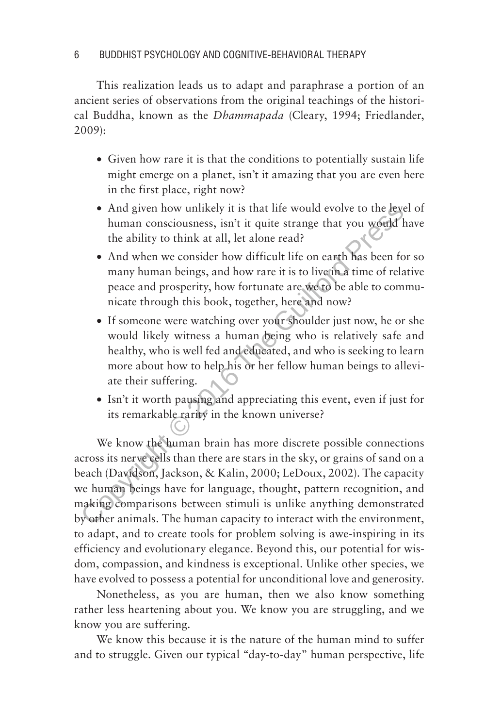### 6 BUDDHIST PSYCHOLOGY AND COGNITIVE -BEHAVIORAL THERAPY

This realization leads us to adapt and paraphrase a portion of an ancient series of observations from the original teachings of the historical Buddha, known as the *Dhammapada* (Cleary, 1994; Friedlander, 2009):

- Given how rare it is that the conditions to potentially sustain life might emerge on a planet, isn't it amazing that you are even here in the first place, right now?
- And given how unlikely it is that life would evolve to the level of human consciousness, isn't it quite strange that you would have the ability to think at all, let alone read?
- And when we consider how difficult life on earth has been for so many human beings, and how rare it is to live in a time of relative peace and prosperity, how fortunate are we to be able to communicate through this book, together, here and now?
- If someone were watching over your shoulder just now, he or she would likely witness a human being who is relatively safe and healthy, who is well fed and educated, and who is seeking to learn more about how to help his or her fellow human beings to alleviate their suffering.
- Isn't it worth pausing and appreciating this event, even if just for its remarkable rarity in the known universe?

• And given how unlikely it is that life would evolve to the level<br>
human consciousness, isn't it quite strange that you would h<br>
the ability to think at all, let alone read?<br>
• And when we consider how difficult life on We know the human brain has more discrete possible connections across its nerve cells than there are stars in the sky, or grains of sand on a beach (Davidson, Jackson, & Kalin, 2000; LeDoux, 2002). The capacity we human beings have for language, thought, pattern recognition, and making comparisons between stimuli is unlike anything demonstrated by other animals. The human capacity to interact with the environment, to adapt, and to create tools for problem solving is awe-inspiring in its efficiency and evolutionary elegance. Beyond this, our potential for wisdom, compassion, and kindness is exceptional. Unlike other species, we have evolved to possess a potential for unconditional love and generosity.

Nonetheless, as you are human, then we also know something rather less heartening about you. We know you are struggling, and we know you are suffering.

We know this because it is the nature of the human mind to suffer and to struggle. Given our typical "day-to-day" human perspective, life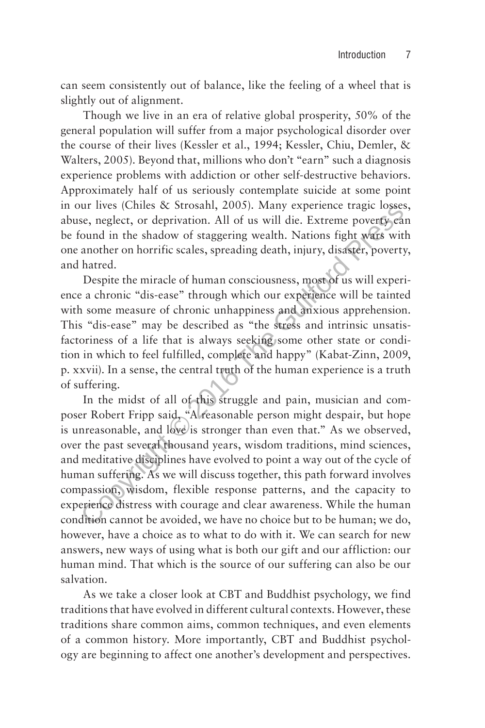can seem consistently out of balance, like the feeling of a wheel that is slightly out of alignment.

Though we live in an era of relative global prosperity, 50% of the general population will suffer from a major psychological disorder over the course of their lives (Kessler et al., 1994; Kessler, Chiu, Demler, & Walters, 2005). Beyond that, millions who don't "earn" such a diagnosis experience problems with addiction or other self-destructive behaviors. Approximately half of us seriously contemplate suicide at some point in our lives (Chiles & Strosahl, 2005). Many experience tragic losses, abuse, neglect, or deprivation. All of us will die. Extreme poverty can be found in the shadow of staggering wealth. Nations fight wars with one another on horrific scales, spreading death, injury, disaster, poverty, and hatred.

Despite the miracle of human consciousness, most of us will experience a chronic "dis-ease" through which our experience will be tainted with some measure of chronic unhappiness and anxious apprehension. This "dis-ease" may be described as "the stress and intrinsic unsatisfactoriness of a life that is always seeking some other state or condition in which to feel fulfilled, complete and happy" (Kabat-Zinn, 2009, p. xxvii). In a sense, the central truth of the human experience is a truth of suffering.

If the past contes are to divid in the symbol of the same properties descept, or depited in the shadow of staggering wealth. Nations fight wars with another on horrific scales, spreading death, injury, disaster, poverty, c In the midst of all of this struggle and pain, musician and composer Robert Fripp said, "A reasonable person might despair, but hope is unreasonable, and love is stronger than even that." As we observed, over the past several thousand years, wisdom traditions, mind sciences, and meditative disciplines have evolved to point a way out of the cycle of human suffering. As we will discuss together, this path forward involves compassion, wisdom, flexible response patterns, and the capacity to experience distress with courage and clear awareness. While the human condition cannot be avoided, we have no choice but to be human; we do, however, have a choice as to what to do with it. We can search for new answers, new ways of using what is both our gift and our affliction: our human mind. That which is the source of our suffering can also be our salvation.

As we take a closer look at CBT and Buddhist psychology, we find traditions that have evolved in different cultural contexts. However, these traditions share common aims, common techniques, and even elements of a common history. More importantly, CBT and Buddhist psychology are beginning to affect one another's development and perspectives.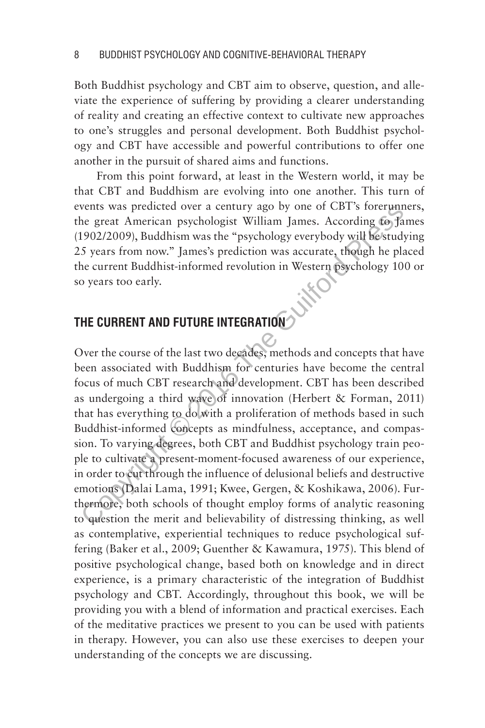Both Buddhist psychology and CBT aim to observe, question, and alleviate the experience of suffering by providing a clearer understanding of reality and creating an effective context to cultivate new approaches to one's struggles and personal development. Both Buddhist psychology and CBT have accessible and powerful contributions to offer one another in the pursuit of shared aims and functions.

From this point forward, at least in the Western world, it may be that CBT and Buddhism are evolving into one another. This turn of events was predicted over a century ago by one of CBT's forerunners, the great American psychologist William James. According to James (1902/2009), Buddhism was the "psychology everybody will be studying 25 years from now." James's prediction was accurate, though he placed the current Buddhist-informed revolution in Western psychology 100 or so years too early.

# **The Current and Future Integration**

vents was predicted over a century ago by one of CB1's forerunne<br>
he great American psychologist William James. According to Jar<br>
1902/2009), Buddhism was the "psychology everybody will be study<br>
5 years from now." James's Over the course of the last two decades, methods and concepts that have been associated with Buddhism for centuries have become the central focus of much CBT research and development. CBT has been described as undergoing a third wave of innovation (Herbert & Forman, 2011) that has everything to do with a proliferation of methods based in such Buddhist-informed concepts as mindfulness, acceptance, and compassion. To varying degrees, both CBT and Buddhist psychology train people to cultivate a present-moment-focused awareness of our experience, in order to cut through the influence of delusional beliefs and destructive emotions (Dalai Lama, 1991; Kwee, Gergen, & Koshikawa, 2006). Furthermore, both schools of thought employ forms of analytic reasoning to question the merit and believability of distressing thinking, as well as contemplative, experiential techniques to reduce psychological suffering (Baker et al., 2009; Guenther & Kawamura, 1975). This blend of positive psychological change, based both on knowledge and in direct experience, is a primary characteristic of the integration of Buddhist psychology and CBT. Accordingly, throughout this book, we will be providing you with a blend of information and practical exercises. Each of the meditative practices we present to you can be used with patients in therapy. However, you can also use these exercises to deepen your understanding of the concepts we are discussing.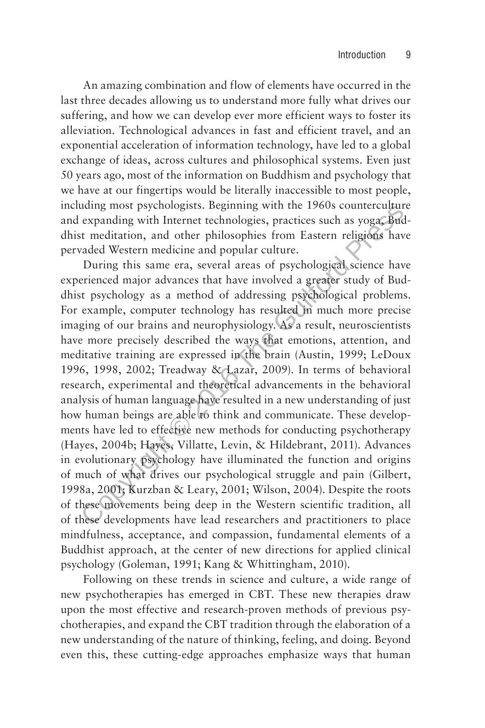An amazing combination and flow of elements have occurred in the last three decades allowing us to understand more fully what drives our suffering, and how we can develop ever more efficient ways to foster its alleviation. Technological advances in fast and efficient travel, and an exponential acceleration of information technology, have led to a global exchange of ideas, across cultures and philosophical systems. Even just 50 years ago, most of the information on Buddhism and psychology that we have at our fingertips would be literally inaccessible to most people, including most psychologists. Beginning with the 1960s counterculture and expanding with Internet technologies, practices such as yoga, Buddhist meditation, and other philosophies from Eastern religions have pervaded Western medicine and popular culture.

ualing most psychologists. beginning with the 1960s confreculture<br>expanding with Internet technologies, practices such as yoga, Byd-<br>externed transition, and other philosophies from Eastern religions have<br>avaded Western me During this same era, several areas of psychological science have experienced major advances that have involved a greater study of Buddhist psychology as a method of addressing psychological problems. For example, computer technology has resulted in much more precise imaging of our brains and neurophysiology. As a result, neuroscientists have more precisely described the ways that emotions, attention, and meditative training are expressed in the brain (Austin, 1999; LeDoux 1996, 1998, 2002; Treadway & Lazar, 2009). In terms of behavioral research, experimental and theoretical advancements in the behavioral analysis of human language have resulted in a new understanding of just how human beings are able to think and communicate. These developments have led to effective new methods for conducting psychotherapy (Hayes, 2004b; Hayes, Villatte, Levin, & Hildebrant, 2011). Advances in evolutionary psychology have illuminated the function and origins of much of what drives our psychological struggle and pain (Gilbert, 1998a, 2001; Kurzban & Leary, 2001; Wilson, 2004). Despite the roots of these movements being deep in the Western scientific tradition, all of these developments have lead researchers and practitioners to place mindfulness, acceptance, and compassion, fundamental elements of a Buddhist approach, at the center of new directions for applied clinical psychology (Goleman, 1991; Kang & Whittingham, 2010).

Following on these trends in science and culture, a wide range of new psychotherapies has emerged in CBT. These new therapies draw upon the most effective and research-proven methods of previous psychotherapies, and expand the CBT tradition through the elaboration of a new understanding of the nature of thinking, feeling, and doing. Beyond even this, these cutting-edge approaches emphasize ways that human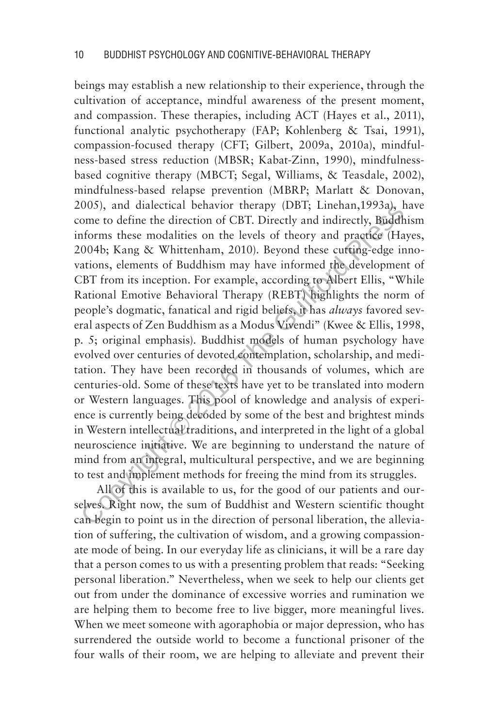ords), and dialectical benavior therapy (DD1; Linenan,1993a), nome to define the direction of CBT. Directly and indirectly, Bugdhinforms these modalities on the levels of theory and practice (Hay 004b; Kang & Whittenham, 2 beings may establish a new relationship to their experience, through the cultivation of acceptance, mindful awareness of the present moment, and compassion. These therapies, including ACT (Hayes et al., 2011), functional analytic psychotherapy (FAP; Kohlenberg & Tsai, 1991), compassion-focused therapy (CFT; Gilbert, 2009a, 2010a), mindfulness-based stress reduction (MBSR; Kabat-Zinn, 1990), mindfulnessbased cognitive therapy (MBCT; Segal, Williams, & Teasdale, 2002), mindfulness-based relapse prevention (MBRP; Marlatt & Donovan, 2005), and dialectical behavior therapy (DBT; Linehan,1993a), have come to define the direction of CBT. Directly and indirectly, Buddhism informs these modalities on the levels of theory and practice (Hayes, 2004b; Kang & Whittenham, 2010). Beyond these cutting-edge innovations, elements of Buddhism may have informed the development of CBT from its inception. For example, according to Albert Ellis, "While Rational Emotive Behavioral Therapy (REBT) highlights the norm of people's dogmatic, fanatical and rigid beliefs, it has *always* favored several aspects of Zen Buddhism as a Modus Vivendi" (Kwee & Ellis, 1998, p. 5; original emphasis). Buddhist models of human psychology have evolved over centuries of devoted contemplation, scholarship, and meditation. They have been recorded in thousands of volumes, which are centuries-old. Some of these texts have yet to be translated into modern or Western languages. This pool of knowledge and analysis of experience is currently being decoded by some of the best and brightest minds in Western intellectual traditions, and interpreted in the light of a global neuroscience initiative. We are beginning to understand the nature of mind from an integral, multicultural perspective, and we are beginning to test and implement methods for freeing the mind from its struggles.

All of this is available to us, for the good of our patients and ourselves. Right now, the sum of Buddhist and Western scientific thought can begin to point us in the direction of personal liberation, the alleviation of suffering, the cultivation of wisdom, and a growing compassionate mode of being. In our everyday life as clinicians, it will be a rare day that a person comes to us with a presenting problem that reads: "Seeking personal liberation." Nevertheless, when we seek to help our clients get out from under the dominance of excessive worries and rumination we are helping them to become free to live bigger, more meaningful lives. When we meet someone with agoraphobia or major depression, who has surrendered the outside world to become a functional prisoner of the four walls of their room, we are helping to alleviate and prevent their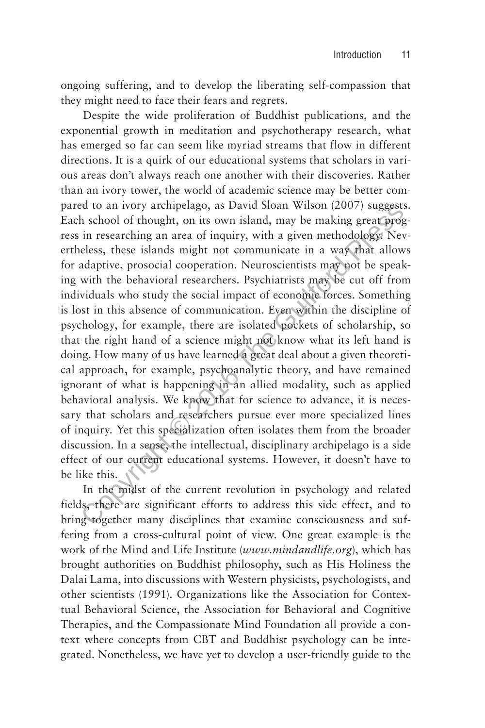ongoing suffering, and to develop the liberating self-compassion that they might need to face their fears and regrets.

Co an ivory archipetago, as David Sioan wiison (2007) suggests.<br>
and co an ivory archipetago, as David Sioan wiison (2007) suggests.<br>
in researching an area of inquiry, with a given methodology? Nev-<br>
in researching an are Despite the wide proliferation of Buddhist publications, and the exponential growth in meditation and psychotherapy research, what has emerged so far can seem like myriad streams that flow in different directions. It is a quirk of our educational systems that scholars in various areas don't always reach one another with their discoveries. Rather than an ivory tower, the world of academic science may be better compared to an ivory archipelago, as David Sloan Wilson (2007) suggests. Each school of thought, on its own island, may be making great progress in researching an area of inquiry, with a given methodology. Nevertheless, these islands might not communicate in a way that allows for adaptive, prosocial cooperation. Neuroscientists may not be speaking with the behavioral researchers. Psychiatrists may be cut off from individuals who study the social impact of economic forces. Something is lost in this absence of communication. Even within the discipline of psychology, for example, there are isolated pockets of scholarship, so that the right hand of a science might not know what its left hand is doing. How many of us have learned a great deal about a given theoretical approach, for example, psychoanalytic theory, and have remained ignorant of what is happening in an allied modality, such as applied behavioral analysis. We know that for science to advance, it is necessary that scholars and researchers pursue ever more specialized lines of inquiry. Yet this specialization often isolates them from the broader discussion. In a sense, the intellectual, disciplinary archipelago is a side effect of our current educational systems. However, it doesn't have to be like this.

In the midst of the current revolution in psychology and related fields, there are significant efforts to address this side effect, and to bring together many disciplines that examine consciousness and suffering from a cross-cultural point of view. One great example is the work of the Mind and Life Institute (*www.mindandlife.org*), which has brought authorities on Buddhist philosophy, such as His Holiness the Dalai Lama, into discussions with Western physicists, psychologists, and other scientists (1991). Organizations like the Association for Contextual Behavioral Science, the Association for Behavioral and Cognitive Therapies, and the Compassionate Mind Foundation all provide a context where concepts from CBT and Buddhist psychology can be integrated. Nonetheless, we have yet to develop a user-friendly guide to the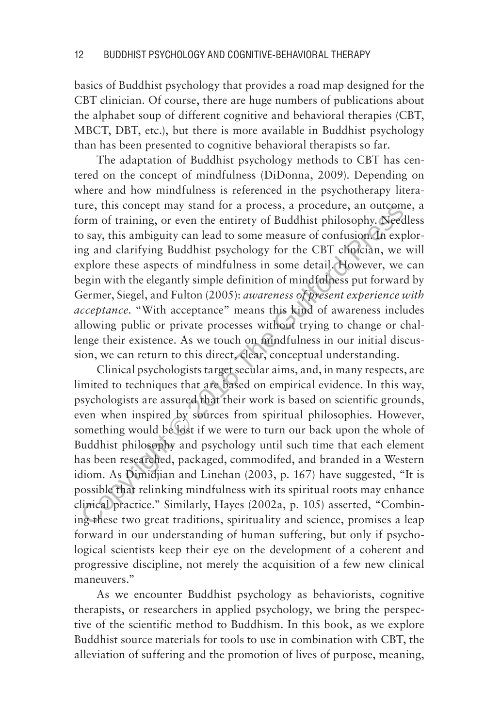basics of Buddhist psychology that provides a road map designed for the CBT clinician. Of course, there are huge numbers of publications about the alphabet soup of different cognitive and behavioral therapies (CBT, MBCT, DBT, etc.), but there is more available in Buddhist psychology than has been presented to cognitive behavioral therapists so far.

The adaptation of Buddhist psychology methods to CBT has centered on the concept of mindfulness (DiDonna, 2009). Depending on where and how mindfulness is referenced in the psychotherapy literature, this concept may stand for a process, a procedure, an outcome, a form of training, or even the entirety of Buddhist philosophy. Needless to say, this ambiguity can lead to some measure of confusion. In exploring and clarifying Buddhist psychology for the CBT clinician, we will explore these aspects of mindfulness in some detail. However, we can begin with the elegantly simple definition of mindfulness put forward by Germer, Siegel, and Fulton (2005): *awareness of present experience with acceptance*. "With acceptance" means this kind of awareness includes allowing public or private processes without trying to change or challenge their existence. As we touch on mindfulness in our initial discussion, we can return to this direct, clear, conceptual understanding.

are, this concept may stand for a process, a procedure, an outcome<br>or fraining, or even the entrirty of Buddhist philosophy. Needlin<br>os any, this ambiguity can lead to some measure of confusionaline, we<br>values and clarifyi Clinical psychologists target secular aims, and, in many respects, are limited to techniques that are based on empirical evidence. In this way, psychologists are assured that their work is based on scientific grounds, even when inspired by sources from spiritual philosophies. However, something would be lost if we were to turn our back upon the whole of Buddhist philosophy and psychology until such time that each element has been researched, packaged, commodifed, and branded in a Western idiom. As Dimidjian and Linehan (2003, p. 167) have suggested, "It is possible that relinking mindfulness with its spiritual roots may enhance clinical practice." Similarly, Hayes (2002a, p. 105) asserted, "Combining these two great traditions, spirituality and science, promises a leap forward in our understanding of human suffering, but only if psychological scientists keep their eye on the development of a coherent and progressive discipline, not merely the acquisition of a few new clinical maneuvers."

As we encounter Buddhist psychology as behaviorists, cognitive therapists, or researchers in applied psychology, we bring the perspective of the scientific method to Buddhism. In this book, as we explore Buddhist source materials for tools to use in combination with CBT, the alleviation of suffering and the promotion of lives of purpose, meaning,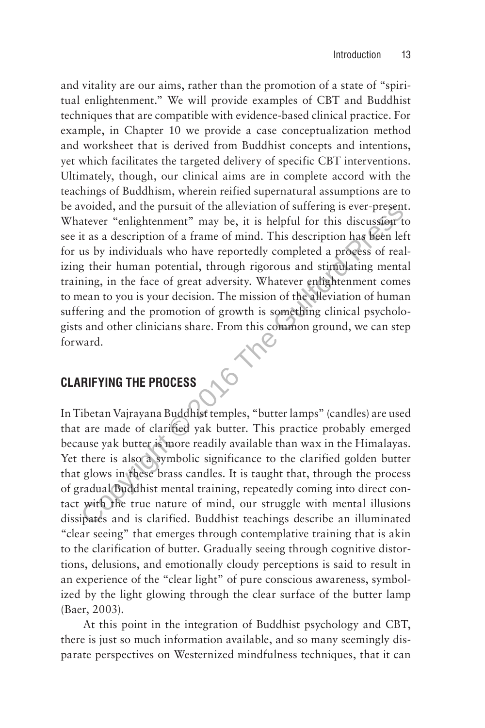voided, and the pursuit of the alieviation of surfering is ever-present.<br>
atever "enlightenment" may be, it is helpful for this discussion to<br>
tit as a description of a frame of mind. This description has been left<br>
tit as and vitality are our aims, rather than the promotion of a state of "spiritual enlightenment." We will provide examples of CBT and Buddhist techniques that are compatible with evidence-based clinical practice. For example, in Chapter 10 we provide a case conceptualization method and worksheet that is derived from Buddhist concepts and intentions, yet which facilitates the targeted delivery of specific CBT interventions. Ultimately, though, our clinical aims are in complete accord with the teachings of Buddhism, wherein reified supernatural assumptions are to be avoided, and the pursuit of the alleviation of suffering is ever-present. Whatever "enlightenment" may be, it is helpful for this discussion to see it as a description of a frame of mind. This description has been left for us by individuals who have reportedly completed a process of realizing their human potential, through rigorous and stimulating mental training, in the face of great adversity. Whatever enlightenment comes to mean to you is your decision. The mission of the alleviation of human suffering and the promotion of growth is something clinical psychologists and other clinicians share. From this common ground, we can step forward.

# **Clarifying the Process**

In Tibetan Vajrayana Buddhist temples, "butter lamps" (candles) are used that are made of clarified yak butter. This practice probably emerged because yak butter is more readily available than wax in the Himalayas. Yet there is also a symbolic significance to the clarified golden butter that glows in these brass candles. It is taught that, through the process of gradual Buddhist mental training, repeatedly coming into direct contact with the true nature of mind, our struggle with mental illusions dissipates and is clarified. Buddhist teachings describe an illuminated "clear seeing" that emerges through contemplative training that is akin to the clarification of butter. Gradually seeing through cognitive distortions, delusions, and emotionally cloudy perceptions is said to result in an experience of the "clear light" of pure conscious awareness, symbolized by the light glowing through the clear surface of the butter lamp (Baer, 2003).

At this point in the integration of Buddhist psychology and CBT, there is just so much information available, and so many seemingly disparate perspectives on Westernized mindfulness techniques, that it can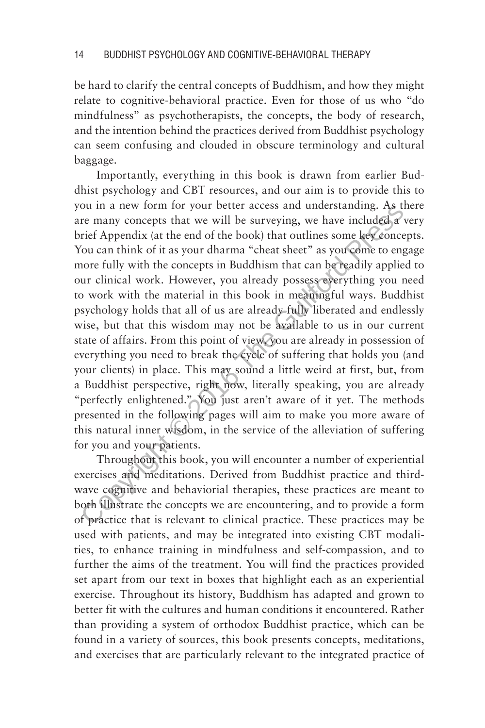be hard to clarify the central concepts of Buddhism, and how they might relate to cognitive-behavioral practice. Even for those of us who "do mindfulness" as psychotherapists, the concepts, the body of research, and the intention behind the practices derived from Buddhist psychology can seem confusing and clouded in obscure terminology and cultural baggage.

ou in a new torm for your better access and understanding. As the rear may concepts that we will be surveying, we have included a vertical article of the subjects that we will be survey to energy of ou can think of it as y Importantly, everything in this book is drawn from earlier Buddhist psychology and CBT resources, and our aim is to provide this to you in a new form for your better access and understanding. As there are many concepts that we will be surveying, we have included a very brief Appendix (at the end of the book) that outlines some key concepts. You can think of it as your dharma "cheat sheet" as you come to engage more fully with the concepts in Buddhism that can be readily applied to our clinical work. However, you already possess everything you need to work with the material in this book in meaningful ways. Buddhist psychology holds that all of us are already fully liberated and endlessly wise, but that this wisdom may not be available to us in our current state of affairs. From this point of view, you are already in possession of everything you need to break the cycle of suffering that holds you (and your clients) in place. This may sound a little weird at first, but, from a Buddhist perspective, right now, literally speaking, you are already "perfectly enlightened." You just aren't aware of it yet. The methods presented in the following pages will aim to make you more aware of this natural inner wisdom, in the service of the alleviation of suffering for you and your patients.

Throughout this book, you will encounter a number of experiential exercises and meditations. Derived from Buddhist practice and thirdwave cognitive and behaviorial therapies, these practices are meant to both illustrate the concepts we are encountering, and to provide a form of practice that is relevant to clinical practice. These practices may be used with patients, and may be integrated into existing CBT modalities, to enhance training in mindfulness and self-compassion, and to further the aims of the treatment. You will find the practices provided set apart from our text in boxes that highlight each as an experiential exercise. Throughout its history, Buddhism has adapted and grown to better fit with the cultures and human conditions it encountered. Rather than providing a system of orthodox Buddhist practice, which can be found in a variety of sources, this book presents concepts, meditations, and exercises that are particularly relevant to the integrated practice of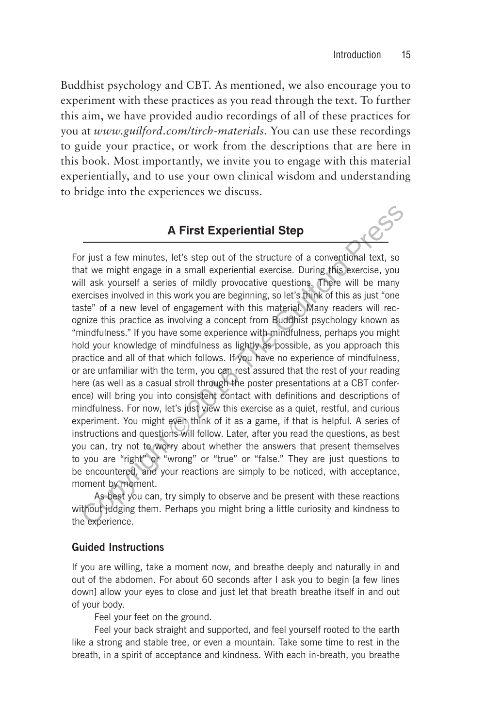Buddhist psychology and CBT. As mentioned, we also encourage you to experiment with these practices as you read through the text. To further this aim, we have provided audio recordings of all of these practices for you at *www.guilford.com/tirch-materials*. You can use these recordings to guide your practice, or work from the descriptions that are here in this book. Most importantly, we invite you to engage with this material experientially, and to use your own clinical wisdom and understanding to bridge into the experiences we discuss.

# **A First Experiential Step**

**A First Experiential Step**<br>
or just a few minutes, let's step out of the structure of a conventional text, so<br>
at we might engage in a small experiential exercise. During this exercise, you<br>
ill ask yourself a series of m For just a few minutes, let's step out of the structure of a conventional text, so that we might engage in a small experiential exercise. During this exercise, you will ask yourself a series of mildly provocative questions. There will be many exercises involved in this work you are beginning, so let's think of this as just "one taste" of a new level of engagement with this material. Many readers will recognize this practice as involving a concept from Buddhist psychology known as "mindfulness." If you have some experience with mindfulness, perhaps you might hold your knowledge of mindfulness as lightly as possible, as you approach this practice and all of that which follows. If you have no experience of mindfulness, or are unfamiliar with the term, you can rest assured that the rest of your reading here (as well as a casual stroll through the poster presentations at a CBT conference) will bring you into consistent contact with definitions and descriptions of mindfulness. For now, let's just view this exercise as a quiet, restful, and curious experiment. You might even think of it as a game, if that is helpful. A series of instructions and questions will follow. Later, after you read the questions, as best you can, try not to worry about whether the answers that present themselves to you are "right" or "wrong" or "true" or "false." They are just questions to be encountered, and your reactions are simply to be noticed, with acceptance, moment by moment.

As best you can, try simply to observe and be present with these reactions without judging them. Perhaps you might bring a little curiosity and kindness to the experience.

### **Guided Instructions**

If you are willing, take a moment now, and breathe deeply and naturally in and out of the abdomen. For about 60 seconds after I ask you to begin [a few lines down] allow your eyes to close and just let that breath breathe itself in and out of your body.

Feel your feet on the ground.

Feel your back straight and supported, and feel yourself rooted to the earth like a strong and stable tree, or even a mountain. Take some time to rest in the breath, in a spirit of acceptance and kindness. With each in-breath, you breathe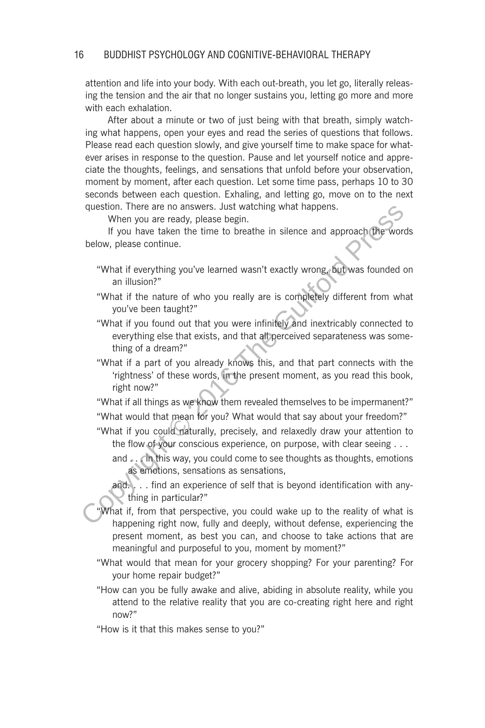#### 16 BUDDHIST PSYCHOLOGY AND COGNITIVE -BEHAVIORAL THERAPY

attention and life into your body. With each out-breath, you let go, literally releasing the tension and the air that no longer sustains you, letting go more and more with each exhalation.

After about a minute or two of just being with that breath, simply watching what happens, open your eyes and read the series of questions that follows. Please read each question slowly, and give yourself time to make space for whatever arises in response to the question. Pause and let yourself notice and appreciate the thoughts, feelings, and sensations that unfold before your observation, moment by moment, after each question. Let some time pass, perhaps 10 to 30 seconds between each question. Exhaling, and letting go, move on to the next question. There are no answers. Just watching what happens.

When you are ready, please begin.

If you have taken the time to breathe in silence and approach the words below, please continue.

- "What if everything you've learned wasn't exactly wrong, but was founded on an illusion?"
- "What if the nature of who you really are is completely different from what you've been taught?"
- question. In the are no answers. Just watching what happens.<br>
When you are ready, please begin.<br>
If you have taken the time to breathe in silence and approach the word<br>
below, please continue.<br>
"What if everything you've l "What if you found out that you were infinitely and inextricably connected to everything else that exists, and that all perceived separateness was something of a dream?"
	- "What if a part of you already knows this, and that part connects with the 'rightness' of these words, in the present moment, as you read this book, right now?"
	- "What if all things as we know them revealed themselves to be impermanent?"
	- "What would that mean for you? What would that say about your freedom?"
	- "What if you could naturally, precisely, and relaxedly draw your attention to the flow of your conscious experience, on purpose, with clear seeing . . .
		- and . . . in this way, you could come to see thoughts as thoughts, emotions as emotions, sensations as sensations,
		- and. . . . find an experience of self that is beyond identification with anything in particular?"
	- What if, from that perspective, you could wake up to the reality of what is happening right now, fully and deeply, without defense, experiencing the present moment, as best you can, and choose to take actions that are meaningful and purposeful to you, moment by moment?"
	- "What would that mean for your grocery shopping? For your parenting? For your home repair budget?"
	- "How can you be fully awake and alive, abiding in absolute reality, while you attend to the relative reality that you are co-creating right here and right now?"
	- "How is it that this makes sense to you?"